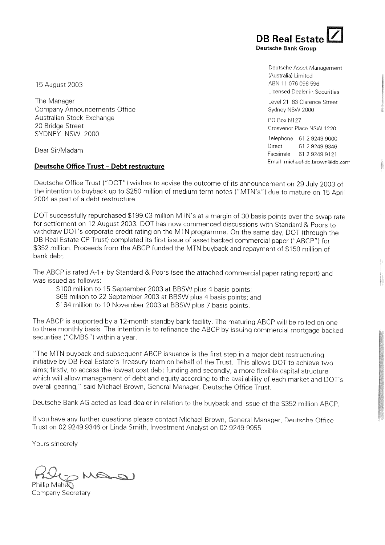15 August 2003

The Manager **Company Announcements Office** Australian Stock Exchange 20 Bridge Street SYDNEY NSW 2000

Dear Sir/Madam

### **Deutsche Office Trust - Debt restructure**

Deutsche Office Trust ("DOT") wishes to advise the outcome of its announcement on 29 July 2003 of the intention to buyback up to \$250 million of medium term notes ("MTN's") due to mature on 15 April 2004 as part of a debt restructure.

DOT successfully repurchased \$199.03 million MTN's at a margin of 30 basis points over the swap rate for settlement on 12 August 2003. DOT has now commenced discussions with Standard & Poors to withdraw DOT's corporate credit rating on the MTN programme. On the same day, DOT (through the DB Real Estate CP Trust) completed its first issue of asset backed commercial paper ("ABCP") for \$352 million. Proceeds from the ABCP funded the MTN buyback and repayment of \$150 million of bank debt.

The ABCP is rated A-1+ by Standard & Poors (see the attached commercial paper rating report) and was issued as follows:

\$100 million to 15 September 2003 at BBSW plus 4 basis points: \$68 million to 22 September 2003 at BBSW plus 4 basis points; and \$184 million to 10 November 2003 at BBSW plus 7 basis points.

The ABCP is supported by a 12-month standby bank facility. The maturing ABCP will be rolled on one to three monthly basis. The intention is to refinance the ABCP by issuing commercial mortgage backed securities ("CMBS") within a year.

"The MTN buyback and subsequent ABCP issuance is the first step in a major debt restructuring initiative by DB Real Estate's Treasury team on behalf of the Trust. This allows DOT to achieve two aims; firstly, to access the lowest cost debt funding and secondly, a more flexible capital structure which will allow management of debt and equity according to the availability of each market and DOT's overall gearing," said Michael Brown, General Manager, Deutsche Office Trust.

Deutsche Bank AG acted as lead dealer in relation to the buyback and issue of the \$352 million ABCP.

If you have any further questions please contact Michael Brown, General Manager, Deutsche Office Trust on 02 9249 9346 or Linda Smith, Investment Analyst on 02 9249 9955.

Yours sincerely

Company Secretary

**DB Real Estat Deutsche Bank Groun** 

> Deutsche Asset Management (Australia) Limited ABN 11 076 098 596 Licensed Dealer in Securities

Level 21 83 Clarence Street Sydney NSW 2000

PO Box N127 Grosvenor Place NSW 1220

Telephone 61 2 9249 9000 Direct 61 2 9249 9346 Facsimile 61 2 9249 9121 Email michael-db.brown@db.com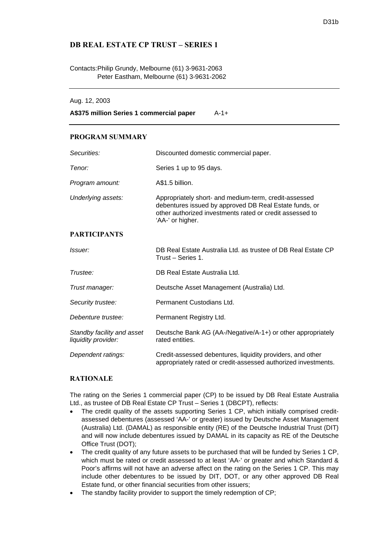# **DB REAL ESTATE CP TRUST – SERIES 1**

### Contacts: Philip Grundy, Melbourne (61) 3-9631-2063 Peter Eastham, Melbourne (61) 3-9631-2062

#### Aug. 12, 2003

**A\$375 million Series 1 commercial paper** A-1+

### **PROGRAM SUMMARY**

| Securities:                                       | Discounted domestic commercial paper.                                                                                                                                                           |
|---------------------------------------------------|-------------------------------------------------------------------------------------------------------------------------------------------------------------------------------------------------|
| Tenor:                                            | Series 1 up to 95 days.                                                                                                                                                                         |
| Program amount:                                   | A\$1.5 billion.                                                                                                                                                                                 |
| Underlying assets:                                | Appropriately short- and medium-term, credit-assessed<br>debentures issued by approved DB Real Estate funds, or<br>other authorized investments rated or credit assessed to<br>'AA-' or higher. |
| <b>PARTICIPANTS</b>                               |                                                                                                                                                                                                 |
| Issuer:                                           | DB Real Estate Australia Ltd. as trustee of DB Real Estate CP<br>Trust - Series 1.                                                                                                              |
| Trustee:                                          | DB Real Estate Australia Ltd.                                                                                                                                                                   |
| Trust manager:                                    | Deutsche Asset Management (Australia) Ltd.                                                                                                                                                      |
| Security trustee:                                 | Permanent Custodians Ltd.                                                                                                                                                                       |
| Debenture trustee:                                | Permanent Registry Ltd.                                                                                                                                                                         |
| Standby facility and asset<br>liquidity provider: | Deutsche Bank AG (AA-/Negative/A-1+) or other appropriately<br>rated entities.                                                                                                                  |
| Dependent ratings:                                | Credit-assessed debentures, liquidity providers, and other<br>appropriately rated or credit-assessed authorized investments.                                                                    |

### **RATIONALE**

The rating on the Series 1 commercial paper (CP) to be issued by DB Real Estate Australia Ltd., as trustee of DB Real Estate CP Trust – Series 1 (DBCPT), reflects:

- The credit quality of the assets supporting Series 1 CP, which initially comprised creditassessed debentures (assessed 'AA-' or greater) issued by Deutsche Asset Management (Australia) Ltd. (DAMAL) as responsible entity (RE) of the Deutsche Industrial Trust (DIT) and will now include debentures issued by DAMAL in its capacity as RE of the Deutsche Office Trust (DOT);
- The credit quality of any future assets to be purchased that will be funded by Series 1 CP. which must be rated or credit assessed to at least 'AA-' or greater and which Standard & Poor's affirms will not have an adverse affect on the rating on the Series 1 CP. This may include other debentures to be issued by DIT, DOT, or any other approved DB Real Estate fund, or other financial securities from other issuers;
- The standby facility provider to support the timely redemption of CP;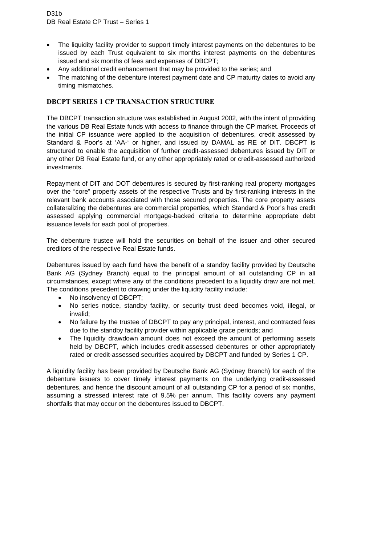- The liquidity facility provider to support timely interest payments on the debentures to be issued by each Trust equivalent to six months interest payments on the debentures issued and six months of fees and expenses of DBCPT;
- Any additional credit enhancement that may be provided to the series; and
- The matching of the debenture interest payment date and CP maturity dates to avoid any timing mismatches.

# **DBCPT SERIES 1 CP TRANSACTION STRUCTURE**

The DBCPT transaction structure was established in August 2002, with the intent of providing the various DB Real Estate funds with access to finance through the CP market. Proceeds of the initial CP issuance were applied to the acquisition of debentures, credit assessed by Standard & Poor's at 'AA-' or higher, and issued by DAMAL as RE of DIT. DBCPT is structured to enable the acquisition of further credit-assessed debentures issued by DIT or any other DB Real Estate fund, or any other appropriately rated or credit-assessed authorized investments.

Repayment of DIT and DOT debentures is secured by first-ranking real property mortgages over the "core" property assets of the respective Trusts and by first-ranking interests in the relevant bank accounts associated with those secured properties. The core property assets collateralizing the debentures are commercial properties, which Standard & Poor's has credit assessed applying commercial mortgage-backed criteria to determine appropriate debt issuance levels for each pool of properties.

The debenture trustee will hold the securities on behalf of the issuer and other secured creditors of the respective Real Estate funds.

Debentures issued by each fund have the benefit of a standby facility provided by Deutsche Bank AG (Sydney Branch) equal to the principal amount of all outstanding CP in all circumstances, except where any of the conditions precedent to a liquidity draw are not met. The conditions precedent to drawing under the liquidity facility include:

- No insolvency of DBCPT;
- No series notice, standby facility, or security trust deed becomes void, illegal, or invalid;
- No failure by the trustee of DBCPT to pay any principal, interest, and contracted fees due to the standby facility provider within applicable grace periods; and
- The liquidity drawdown amount does not exceed the amount of performing assets held by DBCPT, which includes credit-assessed debentures or other appropriately rated or credit-assessed securities acquired by DBCPT and funded by Series 1 CP.

A liquidity facility has been provided by Deutsche Bank AG (Sydney Branch) for each of the debenture issuers to cover timely interest payments on the underlying credit-assessed debentures, and hence the discount amount of all outstanding CP for a period of six months, assuming a stressed interest rate of 9.5% per annum. This facility covers any payment shortfalls that may occur on the debentures issued to DBCPT.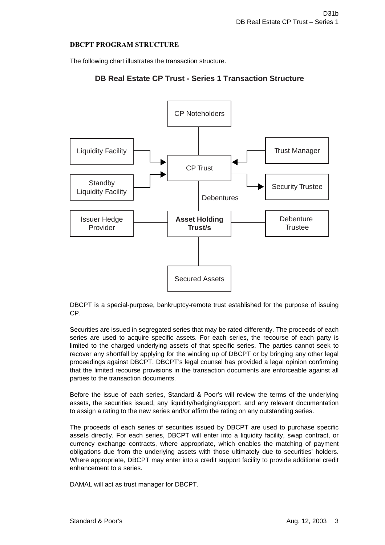### **DBCPT PROGRAM STRUCTURE**

The following chart illustrates the transaction structure.

# **DB Real Estate CP Trust - Series 1 Transaction Structure**



DBCPT is a special-purpose, bankruptcy-remote trust established for the purpose of issuing CP.

Securities are issued in segregated series that may be rated differently. The proceeds of each series are used to acquire specific assets. For each series, the recourse of each party is limited to the charged underlying assets of that specific series. The parties cannot seek to recover any shortfall by applying for the winding up of DBCPT or by bringing any other legal proceedings against DBCPT. DBCPT's legal counsel has provided a legal opinion confirming that the limited recourse provisions in the transaction documents are enforceable against all parties to the transaction documents.

Before the issue of each series, Standard & Poor's will review the terms of the underlying assets, the securities issued, any liquidity/hedging/support, and any relevant documentation to assign a rating to the new series and/or affirm the rating on any outstanding series.

The proceeds of each series of securities issued by DBCPT are used to purchase specific assets directly. For each series, DBCPT will enter into a liquidity facility, swap contract, or currency exchange contracts, where appropriate, which enables the matching of payment obligations due from the underlying assets with those ultimately due to securities' holders. Where appropriate, DBCPT may enter into a credit support facility to provide additional credit enhancement to a series.

DAMAL will act as trust manager for DBCPT.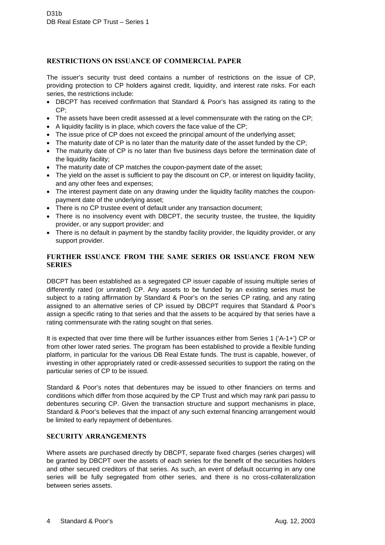### **RESTRICTIONS ON ISSUANCE OF COMMERCIAL PAPER**

The issuer's security trust deed contains a number of restrictions on the issue of CP, providing protection to CP holders against credit, liquidity, and interest rate risks. For each series, the restrictions include:

- DBCPT has received confirmation that Standard & Poor's has assigned its rating to the CP;
- The assets have been credit assessed at a level commensurate with the rating on the CP;
- A liquidity facility is in place, which covers the face value of the CP;
- The issue price of CP does not exceed the principal amount of the underlying asset;
- The maturity date of CP is no later than the maturity date of the asset funded by the CP;
- The maturity date of CP is no later than five business days before the termination date of the liquidity facility;
- The maturity date of CP matches the coupon-payment date of the asset;
- The yield on the asset is sufficient to pay the discount on CP, or interest on liquidity facility, and any other fees and expenses;
- The interest payment date on any drawing under the liquidity facility matches the couponpayment date of the underlying asset;
- There is no CP trustee event of default under any transaction document;
- There is no insolvency event with DBCPT, the security trustee, the trustee, the liquidity provider, or any support provider; and
- There is no default in payment by the standby facility provider, the liquidity provider, or any support provider.

## **FURTHER ISSUANCE FROM THE SAME SERIES OR ISSUANCE FROM NEW SERIES**

DBCPT has been established as a segregated CP issuer capable of issuing multiple series of differently rated (or unrated) CP. Any assets to be funded by an existing series must be subject to a rating affirmation by Standard & Poor's on the series CP rating, and any rating assigned to an alternative series of CP issued by DBCPT requires that Standard & Poor's assign a specific rating to that series and that the assets to be acquired by that series have a rating commensurate with the rating sought on that series.

It is expected that over time there will be further issuances either from Series 1 ('A-1+') CP or from other lower rated series. The program has been established to provide a flexible funding platform, in particular for the various DB Real Estate funds. The trust is capable, however, of investing in other appropriately rated or credit-assessed securities to support the rating on the particular series of CP to be issued.

Standard & Poor's notes that debentures may be issued to other financiers on terms and conditions which differ from those acquired by the CP Trust and which may rank pari passu to debentures securing CP. Given the transaction structure and support mechanisms in place, Standard & Poor's believes that the impact of any such external financing arrangement would be limited to early repayment of debentures.

### **SECURITY ARRANGEMENTS**

Where assets are purchased directly by DBCPT, separate fixed charges (series charges) will be granted by DBCPT over the assets of each series for the benefit of the securities holders and other secured creditors of that series. As such, an event of default occurring in any one series will be fully segregated from other series, and there is no cross-collateralization between series assets.